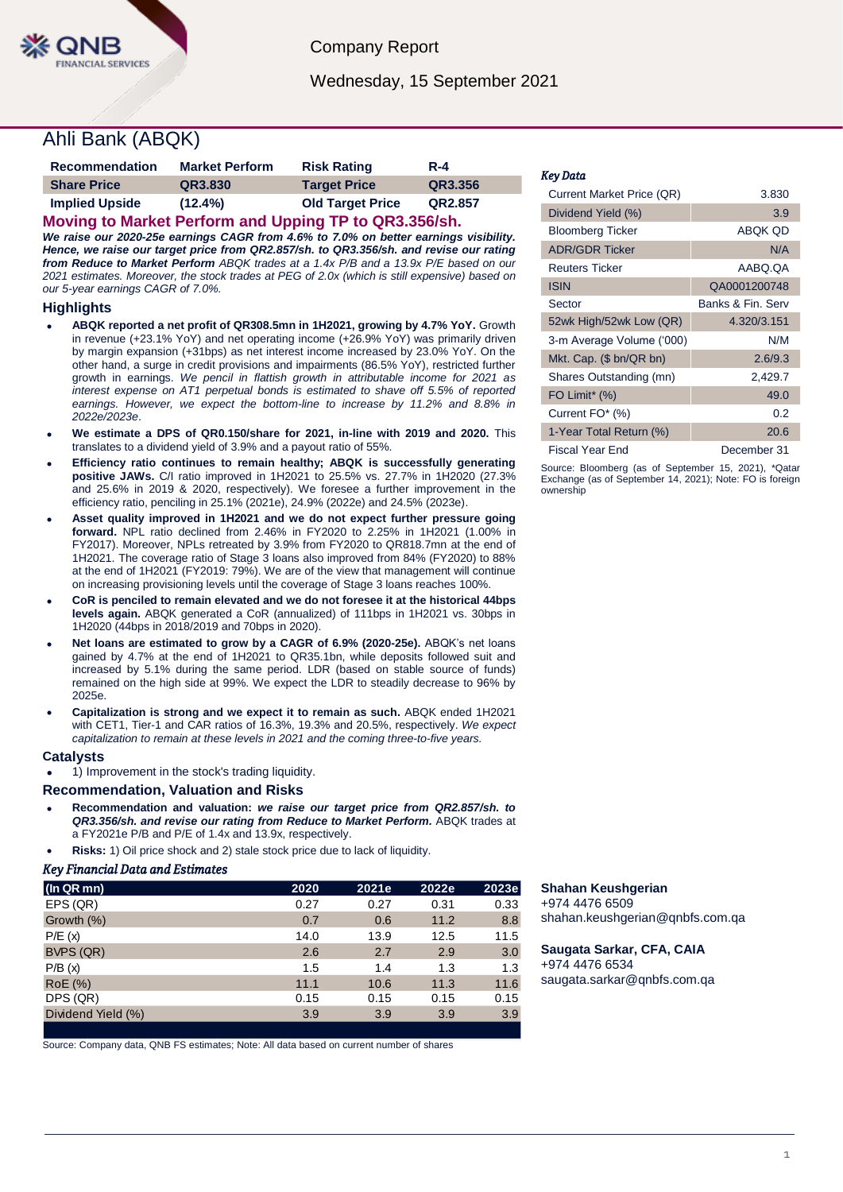

Company Report

Wednesday, 15 September 2021

# Ahli Bank (ABQK)

| <b>Recommendation</b>      | <b>Market Perform</b> | <b>Risk Rating</b>                                                                                                                                                                                                                                                                                                                                            | $R - 4$ |
|----------------------------|-----------------------|---------------------------------------------------------------------------------------------------------------------------------------------------------------------------------------------------------------------------------------------------------------------------------------------------------------------------------------------------------------|---------|
| <b>Share Price</b>         | QR3.830               | <b>Target Price</b>                                                                                                                                                                                                                                                                                                                                           | QR3.356 |
| <b>Implied Upside</b><br>. | $(12.4\%)$            | <b>Old Target Price</b><br>$\mathbf{r}$ $\mathbf{r}$ $\mathbf{r}$ $\mathbf{r}$ $\mathbf{r}$ $\mathbf{r}$ $\mathbf{r}$ $\mathbf{r}$ $\mathbf{r}$ $\mathbf{r}$ $\mathbf{r}$ $\mathbf{r}$ $\mathbf{r}$ $\mathbf{r}$ $\mathbf{r}$ $\mathbf{r}$ $\mathbf{r}$ $\mathbf{r}$ $\mathbf{r}$ $\mathbf{r}$ $\mathbf{r}$ $\mathbf{r}$ $\mathbf{r}$ $\mathbf{r}$ $\mathbf{$ | QR2.857 |

**Moving to Market Perform and Upping TP to QR3.356/sh.** *We raise our 2020-25e earnings CAGR from 4.6% to 7.0% on better earnings visibility. Hence, we raise our target price from QR2.857/sh. to QR3.356/sh. and revise our rating from Reduce to Market Perform ABQK trades at a 1.4x P/B and a 13.9x P/E based on our 2021 estimates. Moreover, the stock trades at PEG of 2.0x (which is still expensive) based on our 5-year earnings CAGR of 7.0%.* 

### **Highlights**

- **ABQK reported a net profit of QR308.5mn in 1H2021, growing by 4.7% YoY.** Growth in revenue (+23.1% YoY) and net operating income (+26.9% YoY) was primarily driven by margin expansion (+31bps) as net interest income increased by 23.0% YoY. On the other hand, a surge in credit provisions and impairments (86.5% YoY), restricted further growth in earnings. *We pencil in flattish growth in attributable income for 2021 as interest expense on AT1 perpetual bonds is estimated to shave off 5.5% of reported earnings. However, we expect the bottom-line to increase by 11.2% and 8.8% in 2022e/2023e*.
- **We estimate a DPS of QR0.150/share for 2021, in-line with 2019 and 2020.** This translates to a dividend yield of 3.9% and a payout ratio of 55%.
- **Efficiency ratio continues to remain healthy; ABQK is successfully generating positive JAWs.** C/I ratio improved in 1H2021 to 25.5% vs. 27.7% in 1H2020 (27.3% and 25.6% in 2019 & 2020, respectively). We foresee a further improvement in the efficiency ratio, penciling in 25.1% (2021e), 24.9% (2022e) and 24.5% (2023e).
- **Asset quality improved in 1H2021 and we do not expect further pressure going forward.** NPL ratio declined from 2.46% in FY2020 to 2.25% in 1H2021 (1.00% in FY2017). Moreover, NPLs retreated by 3.9% from FY2020 to QR818.7mn at the end of 1H2021. The coverage ratio of Stage 3 loans also improved from 84% (FY2020) to 88% at the end of 1H2021 (FY2019: 79%). We are of the view that management will continue on increasing provisioning levels until the coverage of Stage 3 loans reaches 100%.
- **CoR is penciled to remain elevated and we do not foresee it at the historical 44bps levels again.** ABQK generated a CoR (annualized) of 111bps in 1H2021 vs. 30bps in 1H2020 (44bps in 2018/2019 and 70bps in 2020).
- **Net loans are estimated to grow by a CAGR of 6.9% (2020-25e).** ABQK's net loans gained by 4.7% at the end of 1H2021 to QR35.1bn, while deposits followed suit and increased by 5.1% during the same period. LDR (based on stable source of funds) remained on the high side at 99%. We expect the LDR to steadily decrease to 96% by 2025e.
- **Capitalization is strong and we expect it to remain as such.** ABQK ended 1H2021 with CET1, Tier-1 and CAR ratios of 16.3%, 19.3% and 20.5%, respectively. *We expect capitalization to remain at these levels in 2021 and the coming three-to-five years.*

### **Catalysts**

1) Improvement in the stock's trading liquidity.

#### **Recommendation, Valuation and Risks**

- **Recommendation and valuation:** *we raise our target price from QR2.857/sh. to QR3.356/sh. and revise our rating from Reduce to Market Perform.* ABQK trades at a FY2021e P/B and P/E of 1.4x and 13.9x, respectively.
- **Risks:** 1) Oil price shock and 2) stale stock price due to lack of liquidity.

#### *Key Financial Data and Estimates*

| (In QR mn)         | 2020 | 2021e | 2022e | 2023e |
|--------------------|------|-------|-------|-------|
| EPS (QR)           | 0.27 | 0.27  | 0.31  | 0.33  |
| Growth (%)         | 0.7  | 0.6   | 11.2  | 8.8   |
| P/E(x)             | 14.0 | 13.9  | 12.5  | 11.5  |
| BVPS (QR)          | 2.6  | 2.7   | 2.9   | 3.0   |
| P/B(x)             | 1.5  | 1.4   | 1.3   | 1.3   |
| RoE (%)            | 11.1 | 10.6  | 11.3  | 11.6  |
| DPS (QR)           | 0.15 | 0.15  | 0.15  | 0.15  |
| Dividend Yield (%) | 3.9  | 3.9   | 3.9   | 3.9   |
|                    |      |       |       |       |

Source: Company data, QNB FS estimates; Note: All data based on current number of shares

#### *Key Data*

| Current Market Price (QR) | 3.830             |
|---------------------------|-------------------|
| Dividend Yield (%)        | 3.9               |
| <b>Bloomberg Ticker</b>   | ABOK OD           |
| <b>ADR/GDR Ticker</b>     | N/A               |
| <b>Reuters Ticker</b>     | AABO.OA           |
| <b>ISIN</b>               | QA0001200748      |
| Sector                    | Banks & Fin. Serv |
| 52wk High/52wk Low (QR)   | 4.320/3.151       |
| 3-m Average Volume ('000) | N/M               |
| Mkt. Cap. (\$ bn/QR bn)   | 2.6/9.3           |
| Shares Outstanding (mn)   | 2,429.7           |
| FO Limit* (%)             | 49.0              |
| Current FO* (%)           | 0.2               |
| 1-Year Total Return (%)   | 20.6              |
| Fiscal Year End           | December 31       |

Source: Bloomberg (as of September 15, 2021), \*Qatar Exchange (as of September 14, 2021); Note: FO is foreign ownership

## **Shahan Keushgerian**

+974 4476 6509 shahan.keushgerian@qnbfs.com.qa

**Saugata Sarkar, CFA, CAIA** +974 4476 6534 saugata.sarkar@qnbfs.com.qa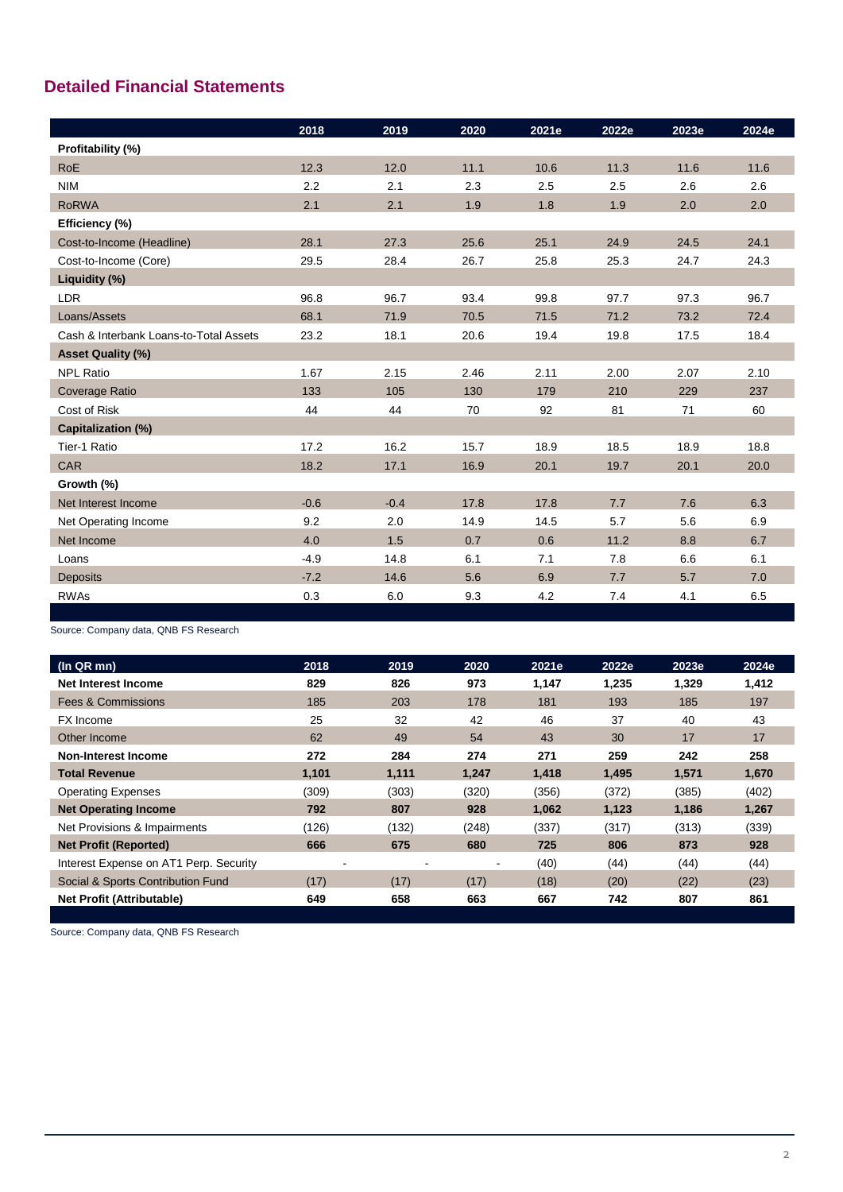# **Detailed Financial Statements**

|                                        | 2018   | 2019   | 2020 | 2021e | 2022e | 2023e | 2024e |
|----------------------------------------|--------|--------|------|-------|-------|-------|-------|
| Profitability (%)                      |        |        |      |       |       |       |       |
| <b>RoE</b>                             | 12.3   | 12.0   | 11.1 | 10.6  | 11.3  | 11.6  | 11.6  |
| <b>NIM</b>                             | 2.2    | 2.1    | 2.3  | 2.5   | 2.5   | 2.6   | 2.6   |
| <b>RoRWA</b>                           | 2.1    | 2.1    | 1.9  | 1.8   | 1.9   | 2.0   | 2.0   |
| Efficiency (%)                         |        |        |      |       |       |       |       |
| Cost-to-Income (Headline)              | 28.1   | 27.3   | 25.6 | 25.1  | 24.9  | 24.5  | 24.1  |
| Cost-to-Income (Core)                  | 29.5   | 28.4   | 26.7 | 25.8  | 25.3  | 24.7  | 24.3  |
| Liquidity (%)                          |        |        |      |       |       |       |       |
| <b>LDR</b>                             | 96.8   | 96.7   | 93.4 | 99.8  | 97.7  | 97.3  | 96.7  |
| Loans/Assets                           | 68.1   | 71.9   | 70.5 | 71.5  | 71.2  | 73.2  | 72.4  |
| Cash & Interbank Loans-to-Total Assets | 23.2   | 18.1   | 20.6 | 19.4  | 19.8  | 17.5  | 18.4  |
| <b>Asset Quality (%)</b>               |        |        |      |       |       |       |       |
| <b>NPL Ratio</b>                       | 1.67   | 2.15   | 2.46 | 2.11  | 2.00  | 2.07  | 2.10  |
| <b>Coverage Ratio</b>                  | 133    | 105    | 130  | 179   | 210   | 229   | 237   |
| Cost of Risk                           | 44     | 44     | 70   | 92    | 81    | 71    | 60    |
| <b>Capitalization (%)</b>              |        |        |      |       |       |       |       |
| Tier-1 Ratio                           | 17.2   | 16.2   | 15.7 | 18.9  | 18.5  | 18.9  | 18.8  |
| <b>CAR</b>                             | 18.2   | 17.1   | 16.9 | 20.1  | 19.7  | 20.1  | 20.0  |
| Growth (%)                             |        |        |      |       |       |       |       |
| Net Interest Income                    | $-0.6$ | $-0.4$ | 17.8 | 17.8  | 7.7   | 7.6   | 6.3   |
| Net Operating Income                   | 9.2    | 2.0    | 14.9 | 14.5  | 5.7   | 5.6   | 6.9   |
| Net Income                             | 4.0    | 1.5    | 0.7  | 0.6   | 11.2  | 8.8   | 6.7   |
| Loans                                  | $-4.9$ | 14.8   | 6.1  | 7.1   | 7.8   | 6.6   | 6.1   |
| <b>Deposits</b>                        | $-7.2$ | 14.6   | 5.6  | 6.9   | 7.7   | 5.7   | 7.0   |
| <b>RWAs</b>                            | 0.3    | 6.0    | 9.3  | 4.2   | 7.4   | 4.1   | 6.5   |

Source: Company data, QNB FS Research

| (ln QR mn)                             | 2018  | 2019  | 2020  | 2021e | 2022e | 2023e | 2024e |
|----------------------------------------|-------|-------|-------|-------|-------|-------|-------|
| Net Interest Income                    | 829   | 826   | 973   | 1,147 | 1,235 | 1,329 | 1,412 |
| <b>Fees &amp; Commissions</b>          | 185   | 203   | 178   | 181   | 193   | 185   | 197   |
| <b>FX</b> Income                       | 25    | 32    | 42    | 46    | 37    | 40    | 43    |
| Other Income                           | 62    | 49    | 54    | 43    | 30    | 17    | 17    |
| Non-Interest Income                    | 272   | 284   | 274   | 271   | 259   | 242   | 258   |
| <b>Total Revenue</b>                   | 1,101 | 1,111 | 1,247 | 1,418 | 1,495 | 1,571 | 1,670 |
| <b>Operating Expenses</b>              | (309) | (303) | (320) | (356) | (372) | (385) | (402) |
| <b>Net Operating Income</b>            | 792   | 807   | 928   | 1,062 | 1,123 | 1,186 | 1,267 |
| Net Provisions & Impairments           | (126) | (132) | (248) | (337) | (317) | (313) | (339) |
| <b>Net Profit (Reported)</b>           | 666   | 675   | 680   | 725   | 806   | 873   | 928   |
| Interest Expense on AT1 Perp. Security | ۰     |       |       | (40)  | (44)  | (44)  | (44)  |
| Social & Sports Contribution Fund      | (17)  | (17)  | (17)  | (18)  | (20)  | (22)  | (23)  |
| <b>Net Profit (Attributable)</b>       | 649   | 658   | 663   | 667   | 742   | 807   | 861   |
|                                        |       |       |       |       |       |       |       |

Source: Company data, QNB FS Research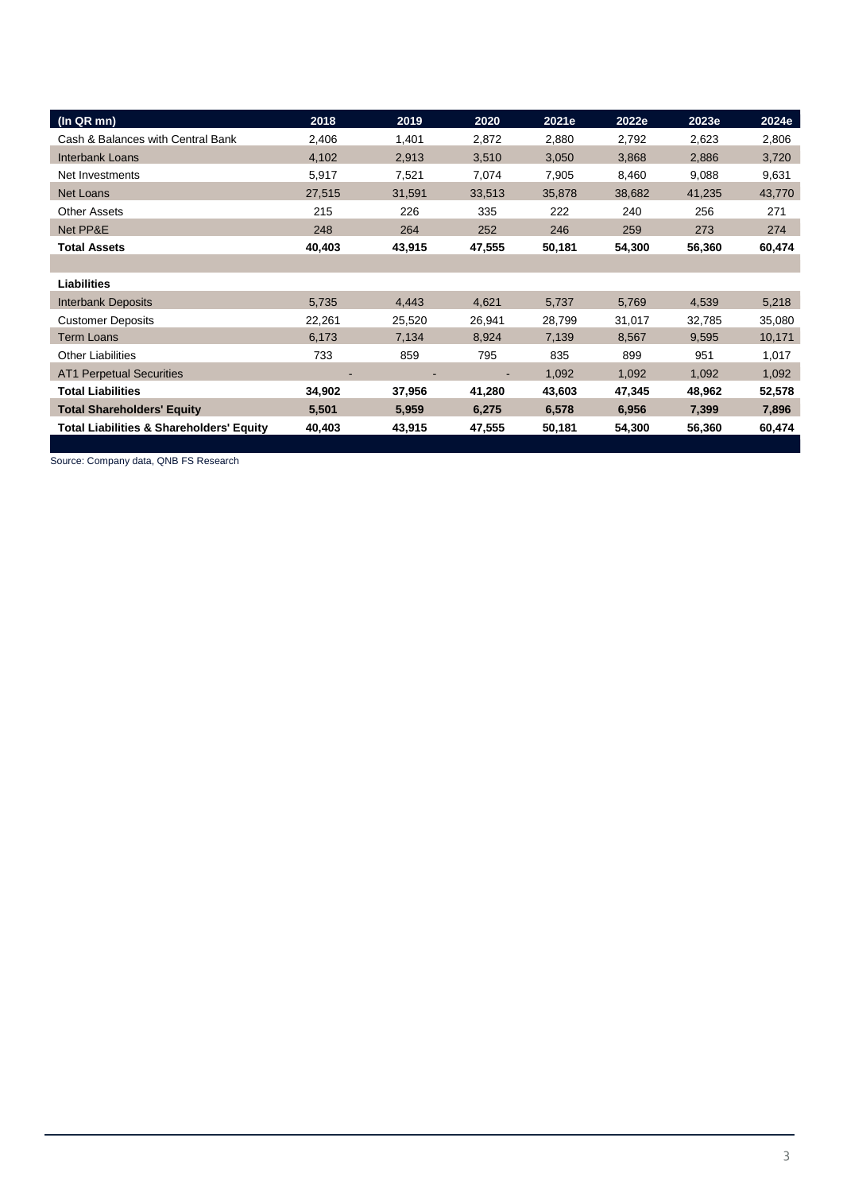| (In QR mn)                                          | 2018   | 2019   | 2020   | 2021e  | 2022e  | 2023e  | 2024e  |
|-----------------------------------------------------|--------|--------|--------|--------|--------|--------|--------|
| Cash & Balances with Central Bank                   | 2,406  | 1,401  | 2,872  | 2,880  | 2,792  | 2,623  | 2,806  |
| <b>Interbank Loans</b>                              | 4,102  | 2,913  | 3,510  | 3,050  | 3,868  | 2,886  | 3,720  |
| Net Investments                                     | 5,917  | 7,521  | 7,074  | 7,905  | 8,460  | 9,088  | 9,631  |
| Net Loans                                           | 27,515 | 31,591 | 33,513 | 35,878 | 38,682 | 41,235 | 43,770 |
| <b>Other Assets</b>                                 | 215    | 226    | 335    | 222    | 240    | 256    | 271    |
| Net PP&E                                            | 248    | 264    | 252    | 246    | 259    | 273    | 274    |
| <b>Total Assets</b>                                 | 40,403 | 43,915 | 47,555 | 50,181 | 54,300 | 56,360 | 60,474 |
|                                                     |        |        |        |        |        |        |        |
| <b>Liabilities</b>                                  |        |        |        |        |        |        |        |
| <b>Interbank Deposits</b>                           | 5,735  | 4,443  | 4,621  | 5,737  | 5,769  | 4,539  | 5,218  |
| <b>Customer Deposits</b>                            | 22,261 | 25,520 | 26,941 | 28,799 | 31,017 | 32,785 | 35,080 |
| <b>Term Loans</b>                                   | 6,173  | 7,134  | 8,924  | 7,139  | 8,567  | 9,595  | 10,171 |
| <b>Other Liabilities</b>                            | 733    | 859    | 795    | 835    | 899    | 951    | 1,017  |
| <b>AT1 Perpetual Securities</b>                     |        |        |        | 1,092  | 1,092  | 1,092  | 1,092  |
| Total Liabilities                                   | 34,902 | 37,956 | 41,280 | 43,603 | 47,345 | 48,962 | 52,578 |
| <b>Total Shareholders' Equity</b>                   | 5,501  | 5,959  | 6,275  | 6,578  | 6,956  | 7,399  | 7,896  |
| <b>Total Liabilities &amp; Shareholders' Equity</b> | 40,403 | 43,915 | 47,555 | 50,181 | 54,300 | 56,360 | 60,474 |

Source: Company data, QNB FS Research